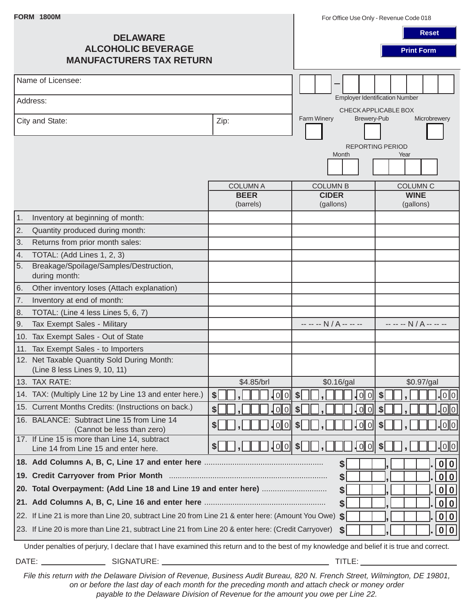| <b>FORM 1800M</b>                                                               |                                                                                                                                           |                                    | For Office Use Only - Revenue Code 018                        |                                    |  |
|---------------------------------------------------------------------------------|-------------------------------------------------------------------------------------------------------------------------------------------|------------------------------------|---------------------------------------------------------------|------------------------------------|--|
| <b>DELAWARE</b><br><b>ALCOHOLIC BEVERAGE</b><br><b>MANUFACTURERS TAX RETURN</b> |                                                                                                                                           |                                    |                                                               | <b>Reset</b><br><b>Print Form</b>  |  |
| Name of Licensee:                                                               |                                                                                                                                           |                                    |                                                               |                                    |  |
|                                                                                 | Address:                                                                                                                                  |                                    | <b>Employer Identification Number</b><br>CHECK APPLICABLE BOX |                                    |  |
| City and State:                                                                 |                                                                                                                                           | Zip:                               | Farm Winery<br>Brewery-Pub                                    | Microbrewery                       |  |
|                                                                                 |                                                                                                                                           |                                    | Month                                                         | <b>REPORTING PERIOD</b><br>Year    |  |
|                                                                                 |                                                                                                                                           | <b>COLUMN A</b>                    | <b>COLUMN B</b>                                               | <b>COLUMN C</b>                    |  |
|                                                                                 |                                                                                                                                           | <b>BEER</b><br>(barrels)           | <b>CIDER</b><br>(gallons)                                     | <b>WINE</b><br>(gallons)           |  |
| $\vert$ 1.                                                                      | Inventory at beginning of month:                                                                                                          |                                    |                                                               |                                    |  |
| $\overline{2}$ .                                                                | Quantity produced during month:                                                                                                           |                                    |                                                               |                                    |  |
| 3.                                                                              | Returns from prior month sales:                                                                                                           |                                    |                                                               |                                    |  |
| 4.                                                                              | TOTAL: (Add Lines 1, 2, 3)                                                                                                                |                                    |                                                               |                                    |  |
| 5.                                                                              | Breakage/Spoilage/Samples/Destruction,<br>during month:                                                                                   |                                    |                                                               |                                    |  |
| 6.                                                                              | Other inventory loses (Attach explanation)                                                                                                |                                    |                                                               |                                    |  |
| 7.                                                                              | Inventory at end of month:                                                                                                                |                                    |                                                               |                                    |  |
| 8.                                                                              | TOTAL: (Line 4 less Lines 5, 6, 7)                                                                                                        |                                    |                                                               |                                    |  |
| 9.                                                                              | Tax Exempt Sales - Military                                                                                                               |                                    | -- -- -- N / A -- -- --                                       | -- -- -- N / A -- -- --            |  |
|                                                                                 | 10. Tax Exempt Sales - Out of State                                                                                                       |                                    |                                                               |                                    |  |
|                                                                                 | 11. Tax Exempt Sales - to Importers                                                                                                       |                                    |                                                               |                                    |  |
|                                                                                 | 12. Net Taxable Quantity Sold During Month:<br>(Line 8 less Lines 9, 10, 11)                                                              |                                    |                                                               |                                    |  |
|                                                                                 | 13. TAX RATE:                                                                                                                             | \$4.85/brl                         | \$0.16/gal                                                    | \$0.97/gal                         |  |
|                                                                                 | 14. TAX: (Multiply Line 12 by Line 13 and enter here.)                                                                                    | <u> o o </u><br>$\boldsymbol{\$}$  | 0 0 <br>$\vert \$\vert$                                       | <u> 0  0 </u><br>$\vert \$\vert$   |  |
|                                                                                 | 15. Current Months Credits: (Instructions on back.)                                                                                       | $\boldsymbol{\mathsf{S}}$<br>lo∥ol | 0 0 <br>\$                                                    | <u> o  o </u><br>$\boldsymbol{\$}$ |  |
|                                                                                 | 16. BALANCE: Subtract Line 15 from Line 14<br>(Cannot be less than zero)                                                                  | ∦o∥o∥                              | 0 0 <br>s <sub>l</sub>                                        | <u> o  o </u><br>s <sub>1</sub>    |  |
|                                                                                 | 17. If Line 15 is more than Line 14, subtract<br>Line 14 from Line 15 and enter here.                                                     | -∣o∥o∥<br>\$                       | 0 0 <br>s                                                     | $\overline{\text{[0]}}$<br>\$      |  |
|                                                                                 |                                                                                                                                           |                                    | \$                                                            | 0 0                                |  |
|                                                                                 |                                                                                                                                           |                                    | s                                                             | 0 0                                |  |
|                                                                                 | 0 0 <br>\$                                                                                                                                |                                    |                                                               |                                    |  |
|                                                                                 | 0 0 <br>\$                                                                                                                                |                                    |                                                               |                                    |  |
|                                                                                 | 22. If Line 21 is more than Line 20, subtract Line 20 from Line 21 & enter here: (Amount You Owe)                                         |                                    | s                                                             | 0 0                                |  |
|                                                                                 | 23. If Line 20 is more than Line 21, subtract Line 21 from Line 20 & enter here: (Credit Carryover)                                       |                                    | s                                                             | 0 0                                |  |
|                                                                                 |                                                                                                                                           |                                    |                                                               |                                    |  |
|                                                                                 | Under penalties of perjury, I declare that I have examined this return and to the best of my knowledge and belief it is true and correct. |                                    |                                                               |                                    |  |

DATE: SIGNATURE: TITLE:

*File this return with the Delaware Division of Revenue, Business Audit Bureau, 820 N. French Street, Wilmington, DE 19801, on or before the last day of each month for the preceding month and attach check or money order payable to the Delaware Division of Revenue for the amount you owe per Line 22.*